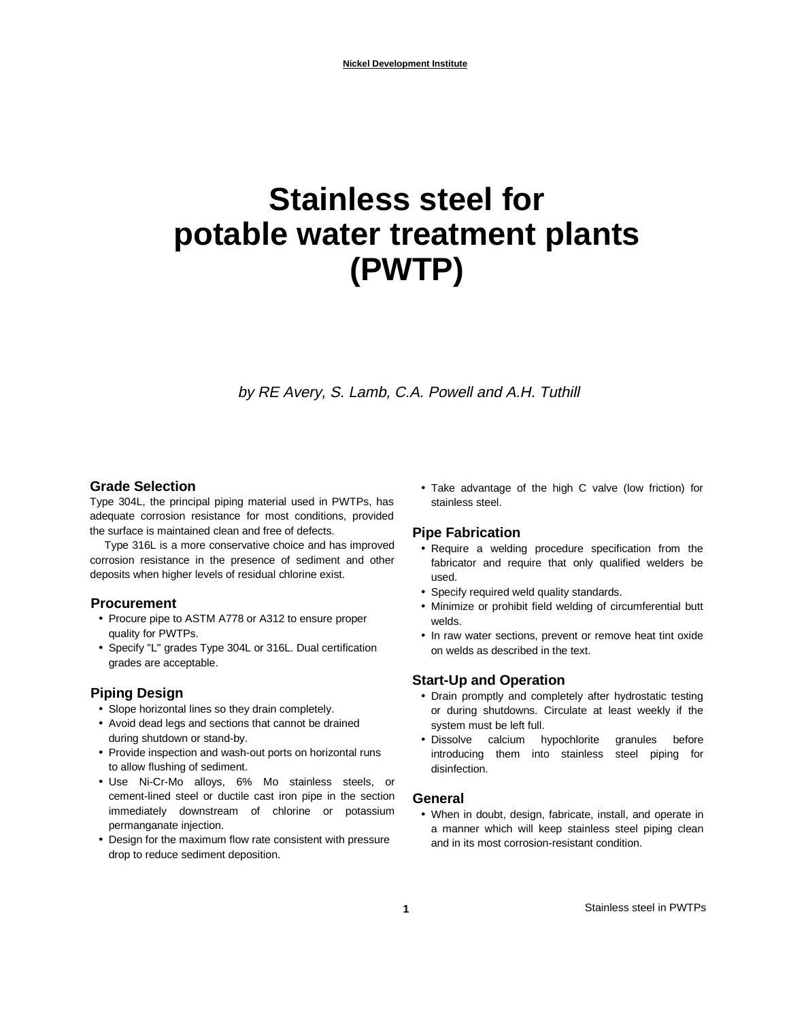# **Stainless steel for potable water treatment plants (PWTP)**

by RE Avery, S. Lamb, C.A. Powell and A.H. Tuthill

#### **Grade Selection**

Type 304L, the principal piping material used in PWTPs, has adequate corrosion resistance for most conditions, provided the surface is maintained clean and free of defects.

Type 316L is a more conservative choice and has improved corrosion resistance in the presence of sediment and other deposits when higher levels of residual chlorine exist.

#### **Procurement**

- Procure pipe to ASTM A778 or A312 to ensure proper quality for PWTPs.
- Specify "L" grades Type 304L or 316L. Dual certification grades are acceptable.

#### **Piping Design**

- Slope horizontal lines so they drain completely.
- Avoid dead legs and sections that cannot be drained during shutdown or stand-by.
- Provide inspection and wash-out ports on horizontal runs to allow flushing of sediment.
- Use Ni-Cr-Mo alloys, 6% Mo stainless steels, or cement-lined steel or ductile cast iron pipe in the section immediately downstream of chlorine or potassium permanganate injection.
- Design for the maximum flow rate consistent with pressure drop to reduce sediment deposition.

• Take advantage of the high C valve (low friction) for stainless steel.

#### **Pipe Fabrication**

- Require a welding procedure specification from the fabricator and require that only qualified welders be used.
- Specify required weld quality standards.
- Minimize or prohibit field welding of circumferential butt welds.
- In raw water sections, prevent or remove heat tint oxide on welds as described in the text.

#### **Start-Up and Operation**

- Drain promptly and completely after hydrostatic testing or during shutdowns. Circulate at least weekly if the system must be left full.
- Dissolve calcium hypochlorite granules before introducing them into stainless steel piping for disinfection.

#### **General**

• When in doubt, design, fabricate, install, and operate in a manner which will keep stainless steel piping clean and in its most corrosion-resistant condition.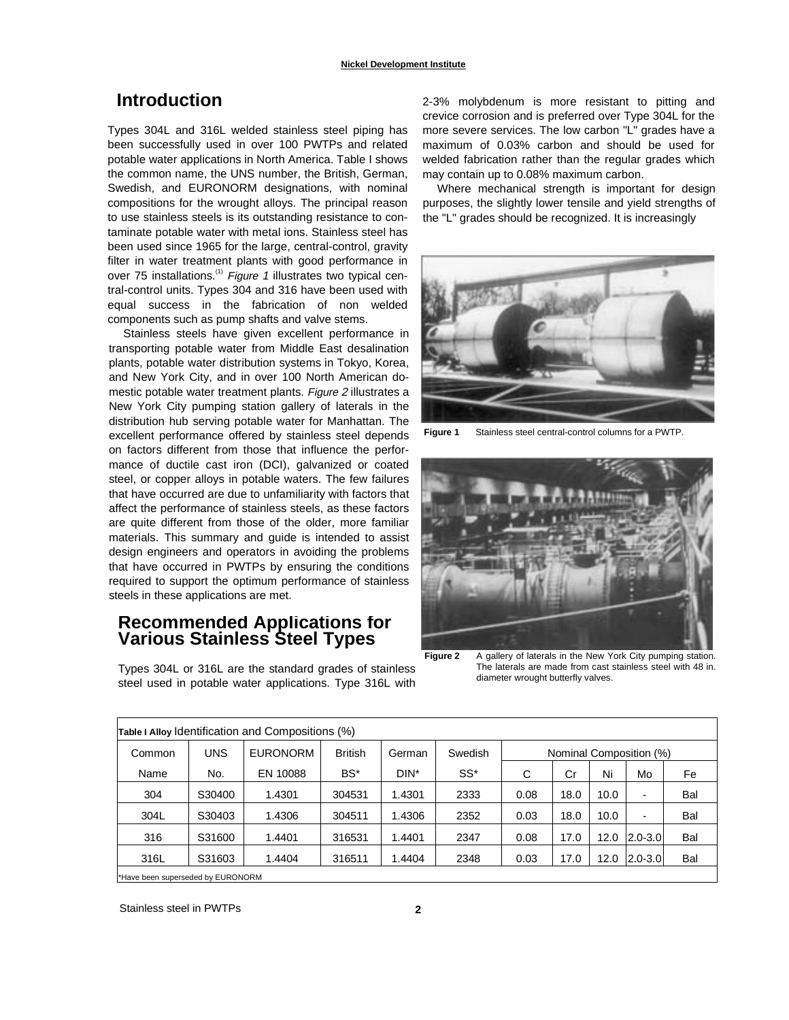# **Introduction**

Types 304L and 316L welded stainless steel piping has been successfully used in over 100 PWTPs and related potable water applications in North America. Table I shows the common name, the UNS number, the British, German, Swedish, and EURONORM designations, with nominal compositions for the wrought alloys. The principal reason to use stainless steels is its outstanding resistance to contaminate potable water with metal ions. Stainless steel has been used since 1965 for the large, central-control, gravity filter in water treatment plants with good performance in over 75 installations.<sup>(1)</sup> Figure 1 illustrates two typical central-control units. Types 304 and 316 have been used with equal success in the fabrication of non welded components such as pump shafts and valve stems.

Stainless steels have given excellent performance in transporting potable water from Middle East desalination plants, potable water distribution systems in Tokyo, Korea, and New York City, and in over 100 North American domestic potable water treatment plants. Figure 2 illustrates a New York City pumping station gallery of laterals in the distribution hub serving potable water for Manhattan. The excellent performance offered by stainless steel depends on factors different from those that influence the performance of ductile cast iron (DCI), galvanized or coated steel, or copper alloys in potable waters. The few failures that have occurred are due to unfamiliarity with factors that affect the performance of stainless steels, as these factors are quite different from those of the older, more familiar materials. This summary and guide is intended to assist design engineers and operators in avoiding the problems that have occurred in PWTPs by ensuring the conditions required to support the optimum performance of stainless steels in these applications are met.

# **Recommended Applications for Various Stainless Steel Types**

Types 304L or 316L are the standard grades of stainless steel used in potable water applications. Type 316L with

2-3% molybdenum is more resistant to pitting and crevice corrosion and is preferred over Type 304L for the more severe services. The low carbon "L" grades have a maximum of 0.03% carbon and should be used for welded fabrication rather than the regular grades which may contain up to 0.08% maximum carbon.

Where mechanical strength is important for design purposes, the slightly lower tensile and yield strengths of the "L" grades should be recognized. It is increasingly



**Figure 1** Stainless steel central-control columns for a PWTP.



Figure 2 A gallery of laterals in the New York City pumping station. The laterals are made from cast stainless steel with 48 in. diameter wrought butterfly valves.

| Table I Alloy Identification and Compositions (%) |            |                 |                |        |         |                         |      |      |                          |     |
|---------------------------------------------------|------------|-----------------|----------------|--------|---------|-------------------------|------|------|--------------------------|-----|
| Common                                            | <b>UNS</b> | <b>EURONORM</b> | <b>British</b> | German | Swedish | Nominal Composition (%) |      |      |                          |     |
| Name                                              | No.        | EN 10088        | BS*            | DIN*   | SS*     | С                       | Cr   | Ni   | Mo                       | Fe  |
| 304                                               | S30400     | 1.4301          | 304531         | 1.4301 | 2333    | 0.08                    | 18.0 | 10.0 | $\overline{\phantom{0}}$ | Bal |
| 304L                                              | S30403     | 1.4306          | 304511         | 1.4306 | 2352    | 0.03                    | 18.0 | 10.0 |                          | Bal |
| 316                                               | S31600     | 1.4401          | 316531         | 1.4401 | 2347    | 0.08                    | 17.0 | 12.0 | $2.0 - 3.0$              | Bal |
| 316L                                              | S31603     | 1.4404          | 316511         | 1.4404 | 2348    | 0.03                    | 17.0 | 12.0 | $2.0 - 3.0$              | Bal |
|                                                   |            |                 |                |        |         |                         |      |      |                          |     |

\*Have been superseded by EURONORM

Stainless steel in PWTPs **2**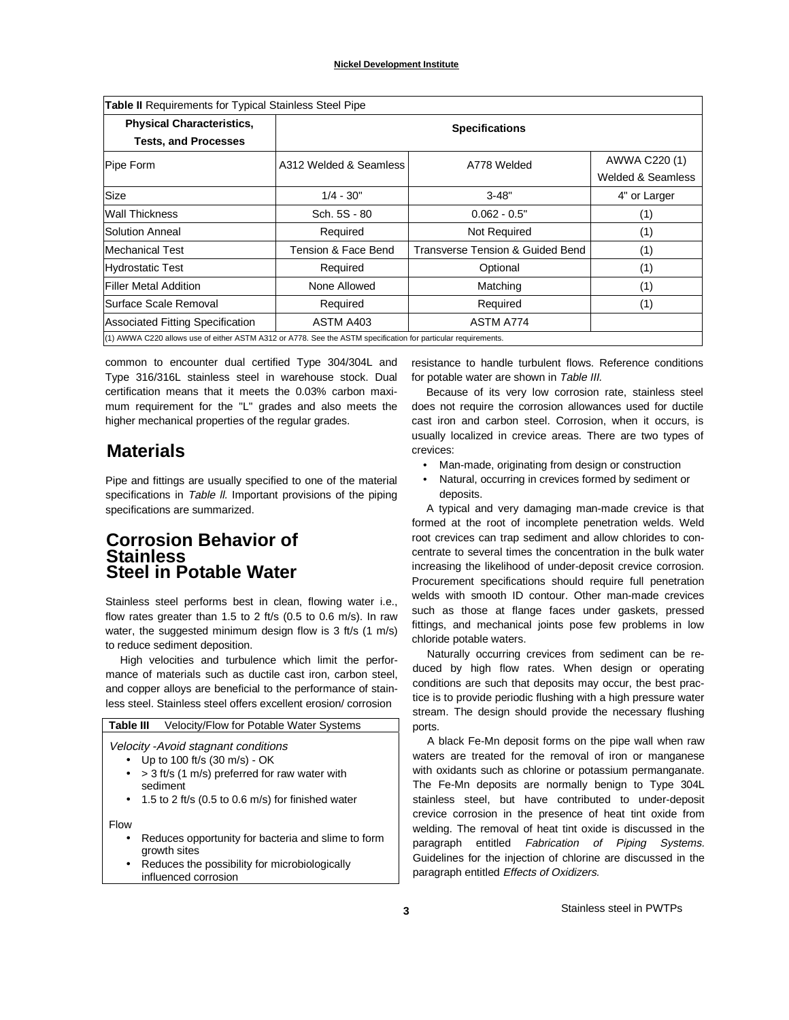| <b>Table II</b> Requirements for Typical Stainless Steel Pipe                                                 |                        |                                  |                   |  |  |  |
|---------------------------------------------------------------------------------------------------------------|------------------------|----------------------------------|-------------------|--|--|--|
| <b>Physical Characteristics,</b>                                                                              | <b>Specifications</b>  |                                  |                   |  |  |  |
| <b>Tests, and Processes</b>                                                                                   |                        |                                  |                   |  |  |  |
| Pipe Form                                                                                                     | A312 Welded & Seamless | A778 Welded                      | AWWA C220 (1)     |  |  |  |
|                                                                                                               |                        |                                  | Welded & Seamless |  |  |  |
| <b>Size</b>                                                                                                   | $1/4 - 30"$            | $3 - 48"$                        | 4" or Larger      |  |  |  |
| <b>Wall Thickness</b>                                                                                         | Sch. 5S - 80           | $0.062 - 0.5"$                   | (1)               |  |  |  |
| Solution Anneal                                                                                               | Required               | Not Required                     | (1)               |  |  |  |
| lMechanical Test                                                                                              | Tension & Face Bend    | Transverse Tension & Guided Bend | (1)               |  |  |  |
| <b>Hydrostatic Test</b>                                                                                       | Required               | Optional                         | (1)               |  |  |  |
| <b>Filler Metal Addition</b>                                                                                  | None Allowed           | Matching                         | (1)               |  |  |  |
| Surface Scale Removal                                                                                         | Required               | Required                         | (1)               |  |  |  |
| <b>Associated Fitting Specification</b>                                                                       | ASTM A403              | ASTM A774                        |                   |  |  |  |
| (1) AWWA C220 allows use of either ASTM A312 or A778. See the ASTM specification for particular requirements. |                        |                                  |                   |  |  |  |

common to encounter dual certified Type 304/304L and Type 316/316L stainless steel in warehouse stock. Dual certification means that it meets the 0.03% carbon maximum requirement for the "L" grades and also meets the higher mechanical properties of the regular grades.

# **Materials**

Pipe and fittings are usually specified to one of the material specifications in Table II. Important provisions of the piping specifications are summarized.

## **Corrosion Behavior of Stainless Steel in Potable Water**

Stainless steel performs best in clean, flowing water i.e., flow rates greater than 1.5 to 2 ft/s (0.5 to 0.6 m/s). In raw water, the suggested minimum design flow is 3 ft/s (1 m/s) to reduce sediment deposition.

High velocities and turbulence which limit the performance of materials such as ductile cast iron, carbon steel, and copper alloys are beneficial to the performance of stainless steel. Stainless steel offers excellent erosion/ corrosion

| Table III<br><b>Velocity/Flow for Potable Water Systems</b>                                                                      |  |
|----------------------------------------------------------------------------------------------------------------------------------|--|
| Velocity -Avoid stagnant conditions<br>Up to 100 ft/s (30 m/s) - OK                                                              |  |
| > 3 ft/s (1 m/s) preferred for raw water with<br>٠<br>sediment<br>1.5 to 2 ft/s (0.5 to 0.6 m/s) for finished water<br>$\bullet$ |  |
| Flow                                                                                                                             |  |
| Reduces opportunity for bacteria and slime to form<br>growth sites                                                               |  |
| Reduces the possibility for microbiologically<br>$\bullet$<br>influenced corrosion                                               |  |

resistance to handle turbulent flows. Reference conditions for potable water are shown in Table III.

Because of its very low corrosion rate, stainless steel does not require the corrosion allowances used for ductile cast iron and carbon steel. Corrosion, when it occurs, is usually localized in crevice areas. There are two types of crevices:

- Man-made, originating from design or construction
- Natural, occurring in crevices formed by sediment or deposits.

A typical and very damaging man-made crevice is that formed at the root of incomplete penetration welds. Weld root crevices can trap sediment and allow chlorides to concentrate to several times the concentration in the bulk water increasing the likelihood of under-deposit crevice corrosion. Procurement specifications should require full penetration welds with smooth ID contour. Other man-made crevices such as those at flange faces under gaskets, pressed fittings, and mechanical joints pose few problems in low chloride potable waters.

Naturally occurring crevices from sediment can be reduced by high flow rates. When design or operating conditions are such that deposits may occur, the best practice is to provide periodic flushing with a high pressure water stream. The design should provide the necessary flushing ports.

A black Fe-Mn deposit forms on the pipe wall when raw waters are treated for the removal of iron or manganese with oxidants such as chlorine or potassium permanganate. The Fe-Mn deposits are normally benign to Type 304L stainless steel, but have contributed to under-deposit crevice corrosion in the presence of heat tint oxide from welding. The removal of heat tint oxide is discussed in the paragraph entitled Fabrication of Piping Systems. Guidelines for the injection of chlorine are discussed in the paragraph entitled Effects of Oxidizers.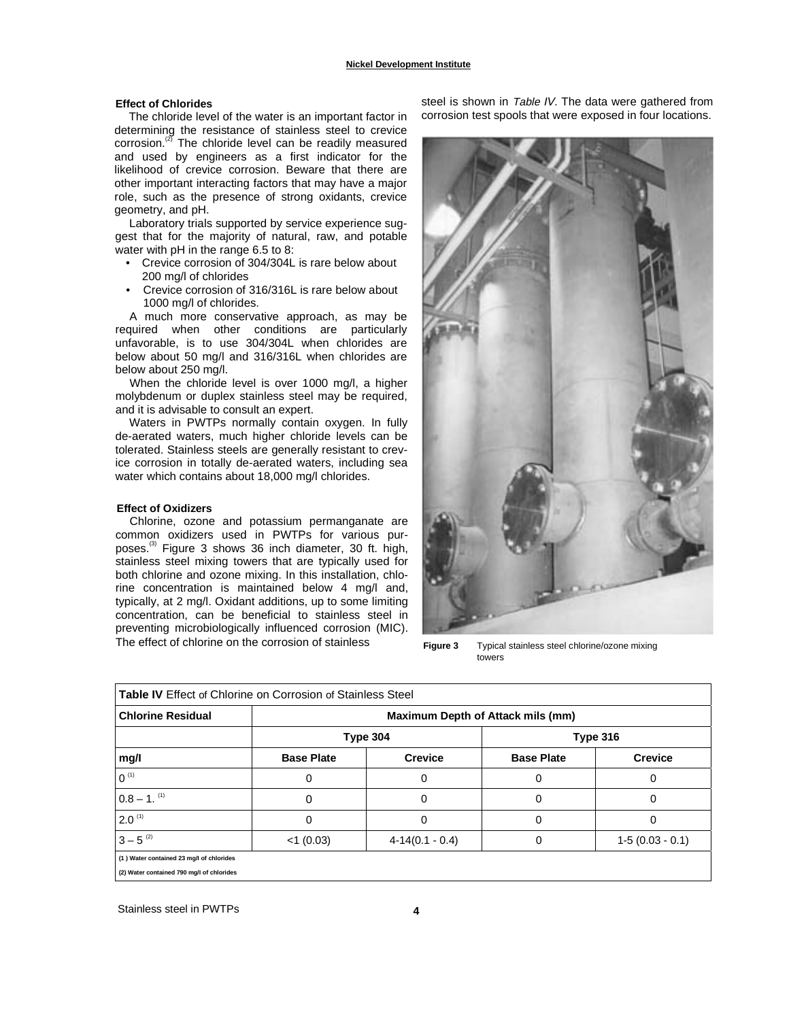#### **Nickel Development Institute**

#### **Effect of Chlorides**

The chloride level of the water is an important factor in determining the resistance of stainless steel to crevice corrosion. $^{(2)}$  The chloride level can be readily measured and used by engineers as a first indicator for the likelihood of crevice corrosion. Beware that there are other important interacting factors that may have a major role, such as the presence of strong oxidants, crevice geometry, and pH.

Laboratory trials supported by service experience suggest that for the majority of natural, raw, and potable water with pH in the range 6.5 to 8:

- Crevice corrosion of 304/304L is rare below about 200 mg/l of chlorides
- Crevice corrosion of 316/316L is rare below about 1000 mg/l of chlorides.

A much more conservative approach, as may be required when other conditions are particularly unfavorable, is to use 304/304L when chlorides are below about 50 mg/l and 316/316L when chlorides are below about 250 mg/l.

When the chloride level is over 1000 mg/l, a higher molybdenum or duplex stainless steel may be required, and it is advisable to consult an expert.

Waters in PWTPs normally contain oxygen. In fully de-aerated waters, much higher chloride levels can be tolerated. Stainless steels are generally resistant to crevice corrosion in totally de-aerated waters, including sea water which contains about 18,000 mg/l chlorides.

#### **Effect of Oxidizers**

Chlorine, ozone and potassium permanganate are common oxidizers used in PWTPs for various purposes.(3) Figure 3 shows 36 inch diameter, 30 ft. high, stainless steel mixing towers that are typically used for both chlorine and ozone mixing. In this installation, chlorine concentration is maintained below 4 mg/l and, typically, at 2 mg/l. Oxidant additions, up to some limiting concentration, can be beneficial to stainless steel in preventing microbiologically influenced corrosion (MIC). The effect of chlorine on the corrosion of stainless

steel is shown in Table IV. The data were gathered from corrosion test spools that were exposed in four locations.



**Figure 3** Typical stainless steel chlorine/ozone mixing towers

| <b>Table IV</b> Effect of Chlorine on Corrosion of Stainless Steel |                                   |                   |                   |                   |  |  |  |
|--------------------------------------------------------------------|-----------------------------------|-------------------|-------------------|-------------------|--|--|--|
| <b>Chlorine Residual</b>                                           | Maximum Depth of Attack mils (mm) |                   |                   |                   |  |  |  |
|                                                                    | Type 304                          |                   | <b>Type 316</b>   |                   |  |  |  |
| mg/l                                                               | <b>Base Plate</b>                 | <b>Crevice</b>    | <b>Base Plate</b> | <b>Crevice</b>    |  |  |  |
| $0^{(1)}$                                                          | U                                 | 0                 | U                 | 0                 |  |  |  |
| $0.8 - 1$ . <sup>(1)</sup>                                         | 0                                 | 0                 | 0                 | 0                 |  |  |  |
| $2.0^{(1)}$                                                        | 0                                 | 0                 | 0                 | 0                 |  |  |  |
| $3 - 5^{(2)}$                                                      | $<$ 1 (0.03)                      | $4-14(0.1 - 0.4)$ | 0                 | $1-5(0.03 - 0.1)$ |  |  |  |
| (1) Water contained 23 mg/l of chlorides                           |                                   |                   |                   |                   |  |  |  |
| (2) Water contained 790 mg/l of chlorides                          |                                   |                   |                   |                   |  |  |  |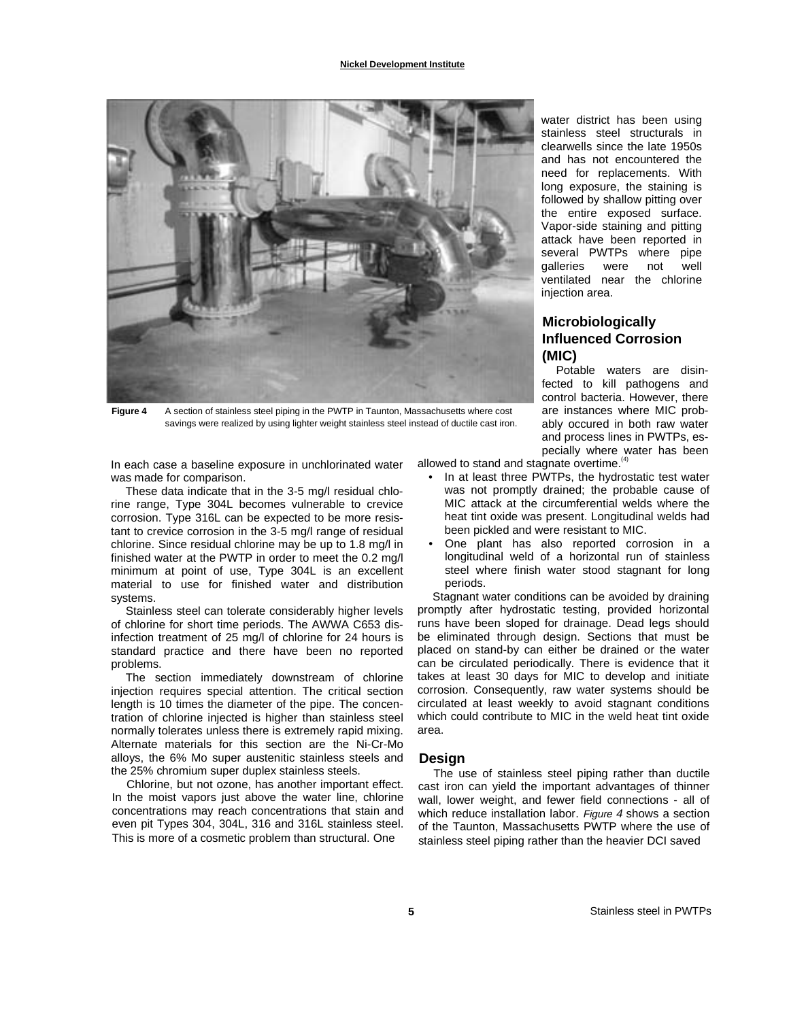

**Figure 4** A section of stainless steel piping in the PWTP in Taunton, Massachusetts where cost savings were realized by using lighter weight stainless steel instead of ductile cast iron.

In each case a baseline exposure in unchlorinated water was made for comparison.

These data indicate that in the 3-5 mg/l residual chlorine range, Type 304L becomes vulnerable to crevice corrosion. Type 316L can be expected to be more resistant to crevice corrosion in the 3-5 mg/l range of residual chlorine. Since residual chlorine may be up to 1.8 mg/l in finished water at the PWTP in order to meet the 0.2 mg/l minimum at point of use, Type 304L is an excellent material to use for finished water and distribution systems.

Stainless steel can tolerate considerably higher levels of chlorine for short time periods. The AWWA C653 disinfection treatment of 25 mg/l of chlorine for 24 hours is standard practice and there have been no reported problems.

The section immediately downstream of chlorine injection requires special attention. The critical section length is 10 times the diameter of the pipe. The concentration of chlorine injected is higher than stainless steel normally tolerates unless there is extremely rapid mixing. Alternate materials for this section are the Ni-Cr-Mo alloys, the 6% Mo super austenitic stainless steels and the 25% chromium super duplex stainless steels.

Chlorine, but not ozone, has another important effect. In the moist vapors just above the water line, chlorine concentrations may reach concentrations that stain and even pit Types 304, 304L, 316 and 316L stainless steel. This is more of a cosmetic problem than structural. One

allowed to stand and stagnate overtime. $4$ 

- In at least three PWTPs, the hydrostatic test water was not promptly drained; the probable cause of MIC attack at the circumferential welds where the heat tint oxide was present. Longitudinal welds had been pickled and were resistant to MIC.
- One plant has also reported corrosion in a longitudinal weld of a horizontal run of stainless steel where finish water stood stagnant for long periods.

Stagnant water conditions can be avoided by draining promptly after hydrostatic testing, provided horizontal runs have been sloped for drainage. Dead legs should be eliminated through design. Sections that must be placed on stand-by can either be drained or the water can be circulated periodically. There is evidence that it takes at least 30 days for MIC to develop and initiate corrosion. Consequently, raw water systems should be circulated at least weekly to avoid stagnant conditions which could contribute to MIC in the weld heat tint oxide area.

#### **Design**

The use of stainless steel piping rather than ductile cast iron can yield the important advantages of thinner wall, lower weight, and fewer field connections - all of which reduce installation labor. Figure 4 shows a section of the Taunton, Massachusetts PWTP where the use of stainless steel piping rather than the heavier DCI saved

long exposure, the staining is followed by shallow pitting over the entire exposed surface. Vapor-side staining and pitting attack have been reported in several PWTPs where pipe galleries were not well ventilated near the chlorine injection area.

water district has been using stainless steel structurals in clearwells since the late 1950s and has not encountered the need for replacements. With

## **Microbiologically Influenced Corrosion (MIC)**

Potable waters are disinfected to kill pathogens and control bacteria. However, there are instances where MIC probably occured in both raw water and process lines in PWTPs, especially where water has been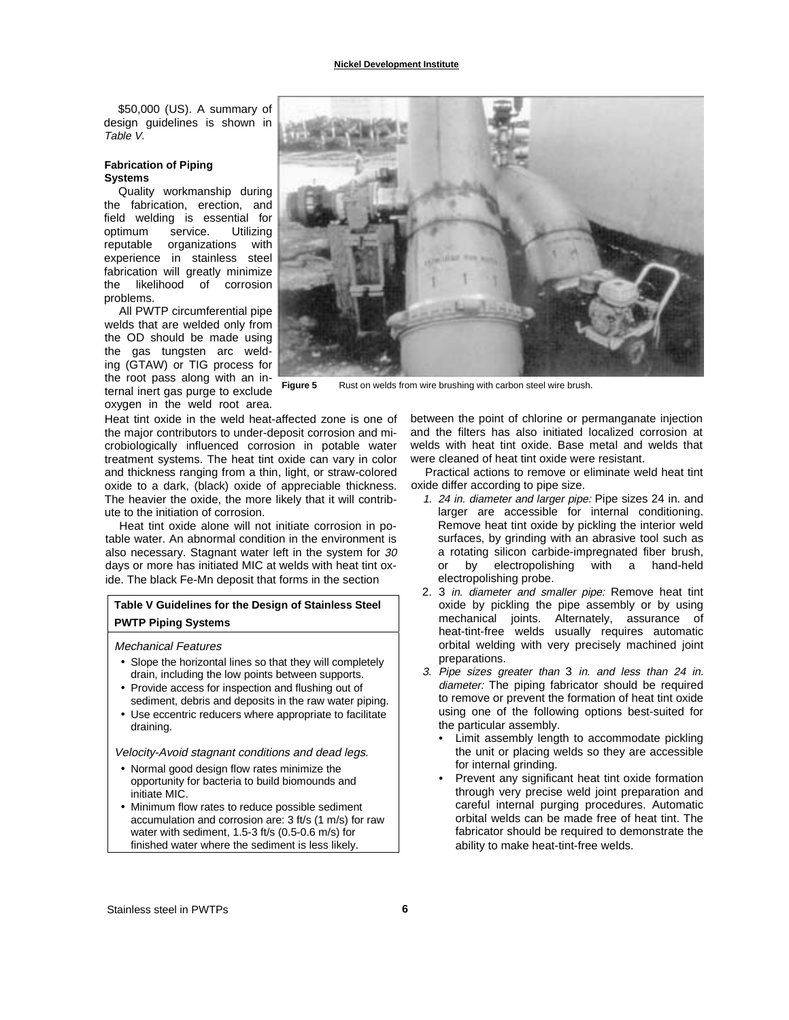\$50,000 (US). A summary of design guidelines is shown in Table V.

#### **Fabrication of Piping Systems**

Quality workmanship during the fabrication, erection, and field welding is essential for optimum service. Utilizing reputable organizations with experience in stainless steel fabrication will greatly minimize the likelihood of corrosion problems.

All PWTP circumferential pipe welds that are welded only from the OD should be made using the gas tungsten arc welding (GTAW) or TIG process for the root pass along with an internal inert gas purge to exclude Figure 5 oxygen in the weld root area.

Heat tint oxide in the weld heat-affected zone is one of the major contributors to under-deposit corrosion and microbiologically influenced corrosion in potable water treatment systems. The heat tint oxide can vary in color and thickness ranging from a thin, light, or straw-colored oxide to a dark, (black) oxide of appreciable thickness. The heavier the oxide, the more likely that it will contribute to the initiation of corrosion.

Heat tint oxide alone will not initiate corrosion in potable water. An abnormal condition in the environment is also necessary. Stagnant water left in the system for 30 days or more has initiated MIC at welds with heat tint oxide. The black Fe-Mn deposit that forms in the section

## **Table V Guidelines for the Design of Stainless Steel PWTP Piping Systems**

#### Mechanical Features

- Slope the horizontal lines so that they will completely drain, including the low points between supports.
- Provide access for inspection and flushing out of sediment, debris and deposits in the raw water piping.
- Use eccentric reducers where appropriate to facilitate draining.

Velocity-Avoid stagnant conditions and dead legs.

- Normal good design flow rates minimize the opportunity for bacteria to build biomounds and initiate MIC.
- Minimum flow rates to reduce possible sediment accumulation and corrosion are: 3 ft/s (1 m/s) for raw water with sediment, 1.5-3 ft/s (0.5-0.6 m/s) for finished water where the sediment is less likely.



**Figure 5** Rust on welds from wire brushing with carbon steel wire brush.

between the point of chlorine or permanganate injection and the filters has also initiated localized corrosion at welds with heat tint oxide. Base metal and welds that were cleaned of heat tint oxide were resistant.

Practical actions to remove or eliminate weld heat tint oxide differ according to pipe size.

- 1. 24 in. diameter and larger pipe: Pipe sizes 24 in. and larger are accessible for internal conditioning. Remove heat tint oxide by pickling the interior weld surfaces, by grinding with an abrasive tool such as a rotating silicon carbide-impregnated fiber brush, or by electropolishing with a hand-held electropolishing probe.
- 2. 3 in. diameter and smaller pipe: Remove heat tint oxide by pickling the pipe assembly or by using mechanical joints. Alternately, assurance of heat-tint-free welds usually requires automatic orbital welding with very precisely machined joint preparations.
- 3. Pipe sizes greater than 3 in. and less than 24 in. diameter: The piping fabricator should be required to remove or prevent the formation of heat tint oxide using one of the following options best-suited for the particular assembly.
	- Limit assembly length to accommodate pickling the unit or placing welds so they are accessible for internal grinding.
	- Prevent any significant heat tint oxide formation through very precise weld joint preparation and careful internal purging procedures. Automatic orbital welds can be made free of heat tint. The fabricator should be required to demonstrate the ability to make heat-tint-free welds.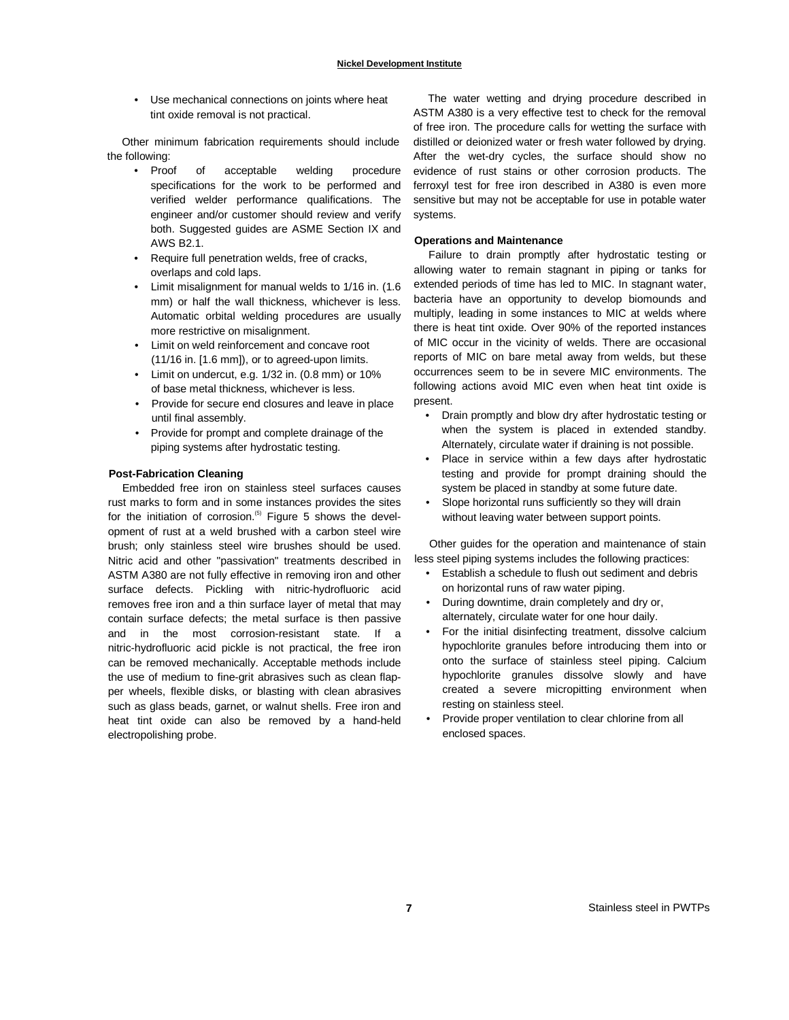• Use mechanical connections on joints where heat tint oxide removal is not practical.

Other minimum fabrication requirements should include the following:

- Proof of acceptable welding procedure specifications for the work to be performed and verified welder performance qualifications. The engineer and/or customer should review and verify both. Suggested guides are ASME Section IX and AWS B2.1.
- Require full penetration welds, free of cracks, overlaps and cold laps.
- Limit misalignment for manual welds to 1/16 in. (1.6 mm) or half the wall thickness, whichever is less. Automatic orbital welding procedures are usually more restrictive on misalignment.
- Limit on weld reinforcement and concave root (11/16 in. [1.6 mm]), or to agreed-upon limits.
- Limit on undercut, e.g. 1/32 in. (0.8 mm) or 10% of base metal thickness, whichever is less.
- Provide for secure end closures and leave in place until final assembly.
- Provide for prompt and complete drainage of the piping systems after hydrostatic testing.

#### **Post-Fabrication Cleaning**

Embedded free iron on stainless steel surfaces causes rust marks to form and in some instances provides the sites for the initiation of corrosion.<sup>(5)</sup> Figure 5 shows the development of rust at a weld brushed with a carbon steel wire brush; only stainless steel wire brushes should be used. Nitric acid and other "passivation" treatments described in ASTM A380 are not fully effective in removing iron and other surface defects. Pickling with nitric-hydrofluoric acid removes free iron and a thin surface layer of metal that may contain surface defects; the metal surface is then passive and in the most corrosion-resistant state. If a nitric-hydrofluoric acid pickle is not practical, the free iron can be removed mechanically. Acceptable methods include the use of medium to fine-grit abrasives such as clean flapper wheels, flexible disks, or blasting with clean abrasives such as glass beads, garnet, or walnut shells. Free iron and heat tint oxide can also be removed by a hand-held electropolishing probe.

The water wetting and drying procedure described in ASTM A380 is a very effective test to check for the removal of free iron. The procedure calls for wetting the surface with distilled or deionized water or fresh water followed by drying. After the wet-dry cycles, the surface should show no evidence of rust stains or other corrosion products. The ferroxyl test for free iron described in A380 is even more sensitive but may not be acceptable for use in potable water systems.

#### **Operations and Maintenance**

Failure to drain promptly after hydrostatic testing or allowing water to remain stagnant in piping or tanks for extended periods of time has led to MIC. In stagnant water, bacteria have an opportunity to develop biomounds and multiply, leading in some instances to MIC at welds where there is heat tint oxide. Over 90% of the reported instances of MIC occur in the vicinity of welds. There are occasional reports of MIC on bare metal away from welds, but these occurrences seem to be in severe MIC environments. The following actions avoid MIC even when heat tint oxide is present.

- Drain promptly and blow dry after hydrostatic testing or when the system is placed in extended standby. Alternately, circulate water if draining is not possible.
- Place in service within a few days after hydrostatic testing and provide for prompt draining should the system be placed in standby at some future date.
- Slope horizontal runs sufficiently so they will drain without leaving water between support points.

Other guides for the operation and maintenance of stain less steel piping systems includes the following practices:

- Establish a schedule to flush out sediment and debris on horizontal runs of raw water piping.
- During downtime, drain completely and dry or, alternately, circulate water for one hour daily.
- For the initial disinfecting treatment, dissolve calcium hypochlorite granules before introducing them into or onto the surface of stainless steel piping. Calcium hypochlorite granules dissolve slowly and have created a severe micropitting environment when resting on stainless steel.
- Provide proper ventilation to clear chlorine from all enclosed spaces.